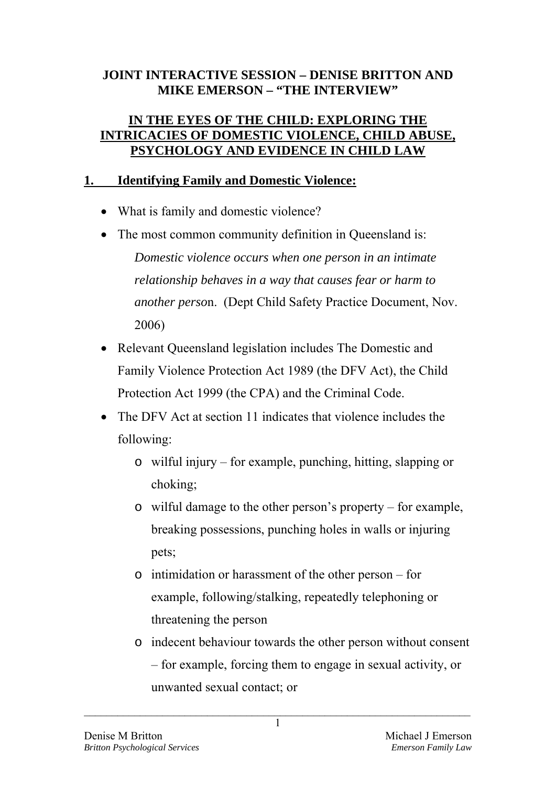### **JOINT INTERACTIVE SESSION – DENISE BRITTON AND MIKE EMERSON – "THE INTERVIEW"**

#### **IN THE EYES OF THE CHILD: EXPLORING THE INTRICACIES OF DOMESTIC VIOLENCE, CHILD ABUSE, PSYCHOLOGY AND EVIDENCE IN CHILD LAW**

### **1. Identifying Family and Domestic Violence:**

- What is family and domestic violence?
- The most common community definition in Queensland is: *Domestic violence occurs when one person in an intimate relationship behaves in a way that causes fear or harm to another perso*n. (Dept Child Safety Practice Document, Nov. 2006)
- Relevant Queensland legislation includes The Domestic and Family Violence Protection Act 1989 (the DFV Act), the Child Protection Act 1999 (the CPA) and the Criminal Code.
- The DFV Act at section 11 indicates that violence includes the following:
	- o wilful injury for example, punching, hitting, slapping or choking;
	- o wilful damage to the other person's property for example, breaking possessions, punching holes in walls or injuring pets;
	- o intimidation or harassment of the other person for example, following/stalking, repeatedly telephoning or threatening the person
	- o indecent behaviour towards the other person without consent – for example, forcing them to engage in sexual activity, or unwanted sexual contact; or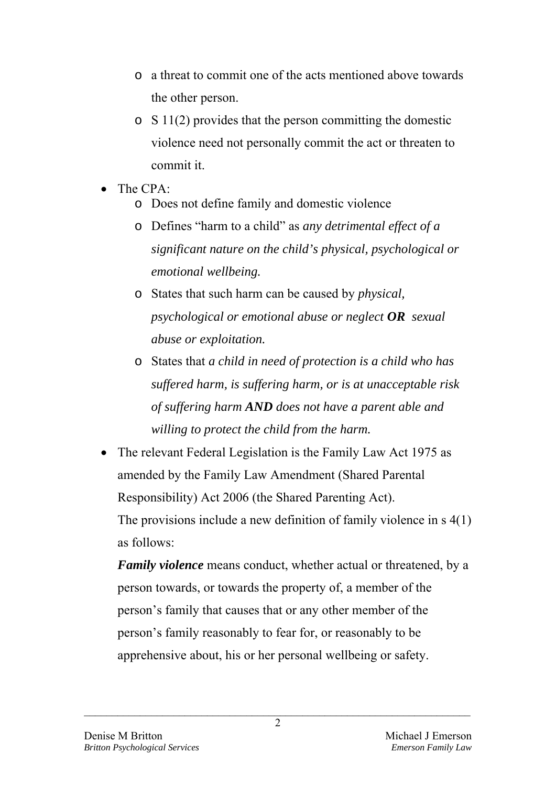- o a threat to commit one of the acts mentioned above towards the other person.
- o S 11(2) provides that the person committing the domestic violence need not personally commit the act or threaten to commit it.
- The CPA:
	- o Does not define family and domestic violence
	- o Defines "harm to a child" as *any detrimental effect of a significant nature on the child's physical, psychological or emotional wellbeing.*
	- o States that such harm can be caused by *physical, psychological or emotional abuse or neglect OR sexual abuse or exploitation.*
	- o States that *a child in need of protection is a child who has suffered harm, is suffering harm, or is at unacceptable risk of suffering harm AND does not have a parent able and willing to protect the child from the harm.*
- The relevant Federal Legislation is the Family Law Act 1975 as amended by the Family Law Amendment (Shared Parental Responsibility) Act 2006 (the Shared Parenting Act).

 The provisions include a new definition of family violence in s 4(1) as follows:

*Family violence* means conduct, whether actual or threatened, by a person towards, or towards the property of, a member of the person's family that causes that or any other member of the person's family reasonably to fear for, or reasonably to be apprehensive about, his or her personal wellbeing or safety.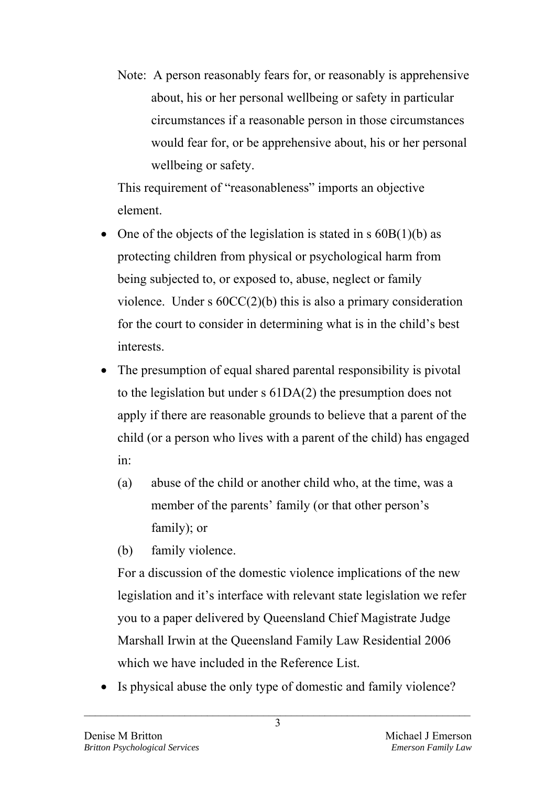Note: A person reasonably fears for, or reasonably is apprehensive about, his or her personal wellbeing or safety in particular circumstances if a reasonable person in those circumstances would fear for, or be apprehensive about, his or her personal wellbeing or safety.

This requirement of "reasonableness" imports an objective element.

- One of the objects of the legislation is stated in  $s$  60B(1)(b) as protecting children from physical or psychological harm from being subjected to, or exposed to, abuse, neglect or family violence. Under s 60CC(2)(b) this is also a primary consideration for the court to consider in determining what is in the child's best interests.
- The presumption of equal shared parental responsibility is pivotal to the legislation but under s 61DA(2) the presumption does not apply if there are reasonable grounds to believe that a parent of the child (or a person who lives with a parent of the child) has engaged in:
	- (a) abuse of the child or another child who, at the time, was a member of the parents' family (or that other person's family); or
	- (b) family violence.

For a discussion of the domestic violence implications of the new legislation and it's interface with relevant state legislation we refer you to a paper delivered by Queensland Chief Magistrate Judge Marshall Irwin at the Queensland Family Law Residential 2006 which we have included in the Reference List.

Is physical abuse the only type of domestic and family violence?

 $\mathcal{L}_\text{max} = \mathcal{L}_\text{max} = \mathcal{L}_\text{max} = \mathcal{L}_\text{max} = \mathcal{L}_\text{max} = \mathcal{L}_\text{max} = \mathcal{L}_\text{max} = \mathcal{L}_\text{max} = \mathcal{L}_\text{max} = \mathcal{L}_\text{max} = \mathcal{L}_\text{max} = \mathcal{L}_\text{max} = \mathcal{L}_\text{max} = \mathcal{L}_\text{max} = \mathcal{L}_\text{max} = \mathcal{L}_\text{max} = \mathcal{L}_\text{max} = \mathcal{L}_\text{max} = \mathcal{$ 3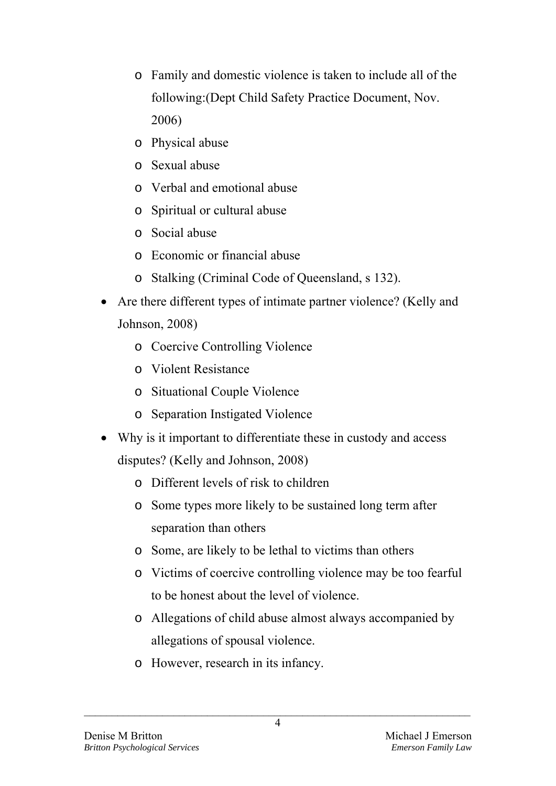- o Family and domestic violence is taken to include all of the following:(Dept Child Safety Practice Document, Nov. 2006)
- o Physical abuse
- o Sexual abuse
- o Verbal and emotional abuse
- o Spiritual or cultural abuse
- o Social abuse
- o Economic or financial abuse
- o Stalking (Criminal Code of Queensland, s 132).
- Are there different types of intimate partner violence? (Kelly and Johnson, 2008)
	- o Coercive Controlling Violence
	- o Violent Resistance
	- o Situational Couple Violence
	- o Separation Instigated Violence
- Why is it important to differentiate these in custody and access disputes? (Kelly and Johnson, 2008)
	- o Different levels of risk to children
	- o Some types more likely to be sustained long term after separation than others
	- o Some, are likely to be lethal to victims than others
	- o Victims of coercive controlling violence may be too fearful to be honest about the level of violence.
	- o Allegations of child abuse almost always accompanied by allegations of spousal violence.
	- o However, research in its infancy.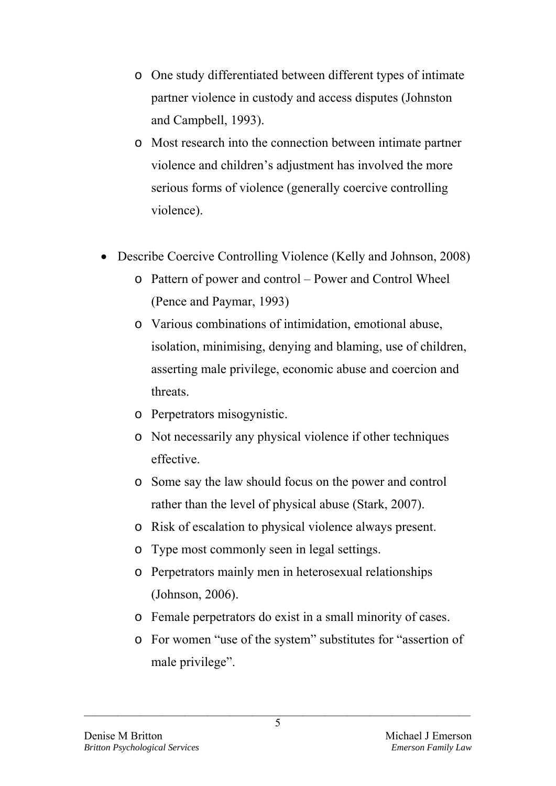- o One study differentiated between different types of intimate partner violence in custody and access disputes (Johnston and Campbell, 1993).
- o Most research into the connection between intimate partner violence and children's adjustment has involved the more serious forms of violence (generally coercive controlling violence).
- Describe Coercive Controlling Violence (Kelly and Johnson, 2008)
	- o Pattern of power and control Power and Control Wheel (Pence and Paymar, 1993)
	- o Various combinations of intimidation, emotional abuse, isolation, minimising, denying and blaming, use of children, asserting male privilege, economic abuse and coercion and threats.
	- o Perpetrators misogynistic.
	- o Not necessarily any physical violence if other techniques effective.
	- o Some say the law should focus on the power and control rather than the level of physical abuse (Stark, 2007).
	- o Risk of escalation to physical violence always present.
	- o Type most commonly seen in legal settings.
	- o Perpetrators mainly men in heterosexual relationships (Johnson, 2006).
	- o Female perpetrators do exist in a small minority of cases.
	- o For women "use of the system" substitutes for "assertion of male privilege".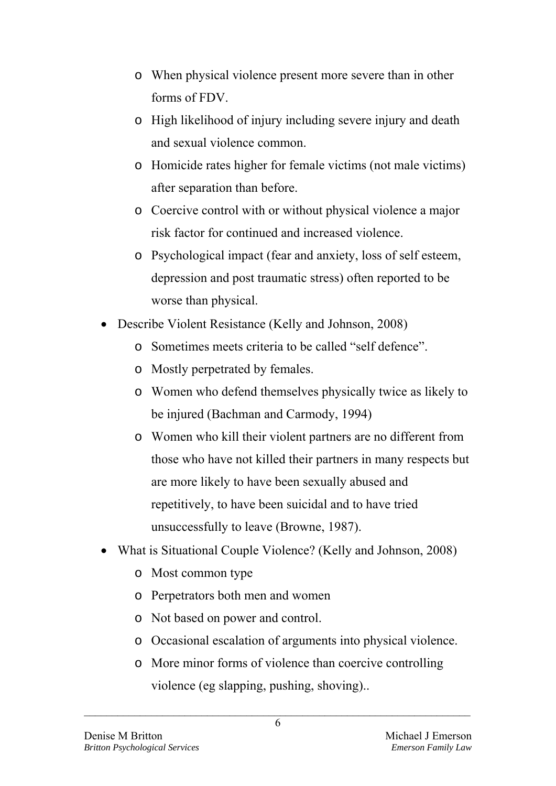- o When physical violence present more severe than in other forms of FDV.
- o High likelihood of injury including severe injury and death and sexual violence common.
- o Homicide rates higher for female victims (not male victims) after separation than before.
- o Coercive control with or without physical violence a major risk factor for continued and increased violence.
- o Psychological impact (fear and anxiety, loss of self esteem, depression and post traumatic stress) often reported to be worse than physical.
- Describe Violent Resistance (Kelly and Johnson, 2008)
	- o Sometimes meets criteria to be called "self defence".
	- o Mostly perpetrated by females.
	- o Women who defend themselves physically twice as likely to be injured (Bachman and Carmody, 1994)
	- o Women who kill their violent partners are no different from those who have not killed their partners in many respects but are more likely to have been sexually abused and repetitively, to have been suicidal and to have tried unsuccessfully to leave (Browne, 1987).
- What is Situational Couple Violence? (Kelly and Johnson, 2008)
	- o Most common type
	- o Perpetrators both men and women
	- o Not based on power and control.
	- o Occasional escalation of arguments into physical violence.
	- o More minor forms of violence than coercive controlling violence (eg slapping, pushing, shoving)..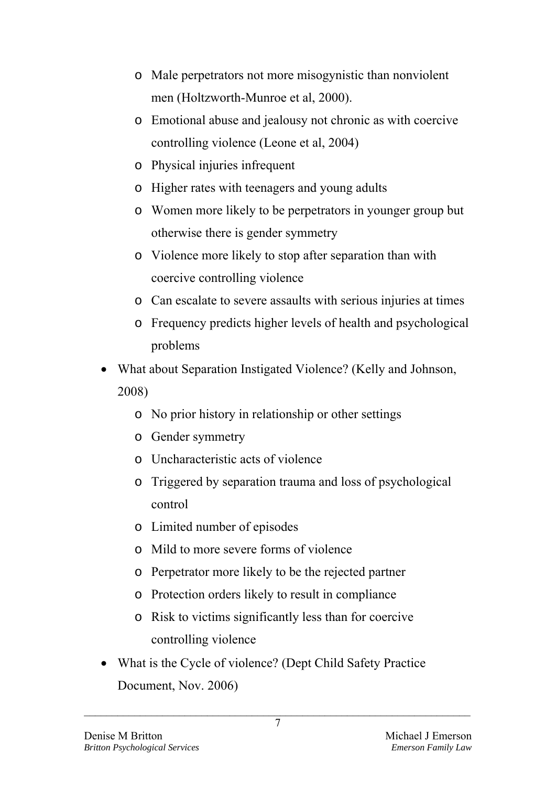- o Male perpetrators not more misogynistic than nonviolent men (Holtzworth-Munroe et al, 2000).
- o Emotional abuse and jealousy not chronic as with coercive controlling violence (Leone et al, 2004)
- o Physical injuries infrequent
- o Higher rates with teenagers and young adults
- o Women more likely to be perpetrators in younger group but otherwise there is gender symmetry
- o Violence more likely to stop after separation than with coercive controlling violence
- o Can escalate to severe assaults with serious injuries at times
- o Frequency predicts higher levels of health and psychological problems
- What about Separation Instigated Violence? (Kelly and Johnson, 2008)
	- o No prior history in relationship or other settings
	- o Gender symmetry
	- o Uncharacteristic acts of violence
	- o Triggered by separation trauma and loss of psychological control
	- o Limited number of episodes
	- o Mild to more severe forms of violence
	- o Perpetrator more likely to be the rejected partner
	- o Protection orders likely to result in compliance
	- o Risk to victims significantly less than for coercive controlling violence
- What is the Cycle of violence? (Dept Child Safety Practice Document, Nov. 2006)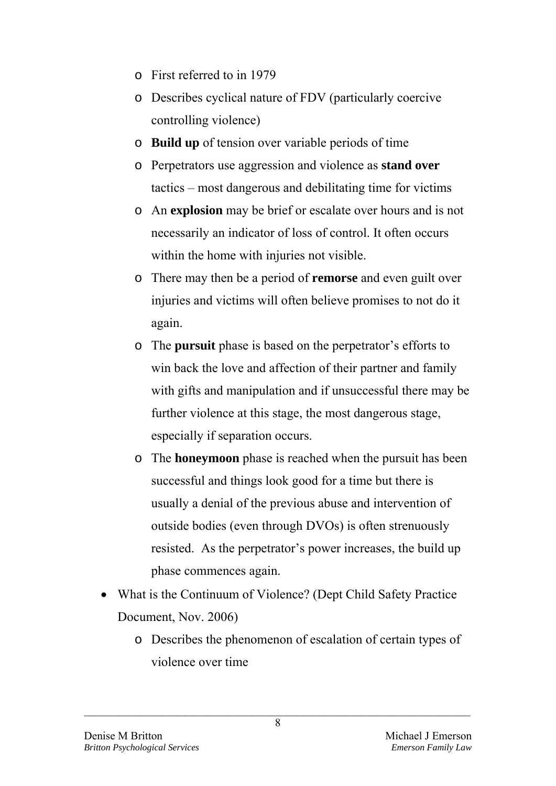- o First referred to in 1979
- o Describes cyclical nature of FDV (particularly coercive controlling violence)
- o **Build up** of tension over variable periods of time
- o Perpetrators use aggression and violence as **stand over** tactics – most dangerous and debilitating time for victims
- o An **explosion** may be brief or escalate over hours and is not necessarily an indicator of loss of control. It often occurs within the home with injuries not visible.
- o There may then be a period of **remorse** and even guilt over injuries and victims will often believe promises to not do it again.
- o The **pursuit** phase is based on the perpetrator's efforts to win back the love and affection of their partner and family with gifts and manipulation and if unsuccessful there may be further violence at this stage, the most dangerous stage, especially if separation occurs.
- o The **honeymoon** phase is reached when the pursuit has been successful and things look good for a time but there is usually a denial of the previous abuse and intervention of outside bodies (even through DVOs) is often strenuously resisted. As the perpetrator's power increases, the build up phase commences again.
- What is the Continuum of Violence? (Dept Child Safety Practice Document, Nov. 2006)
	- o Describes the phenomenon of escalation of certain types of violence over time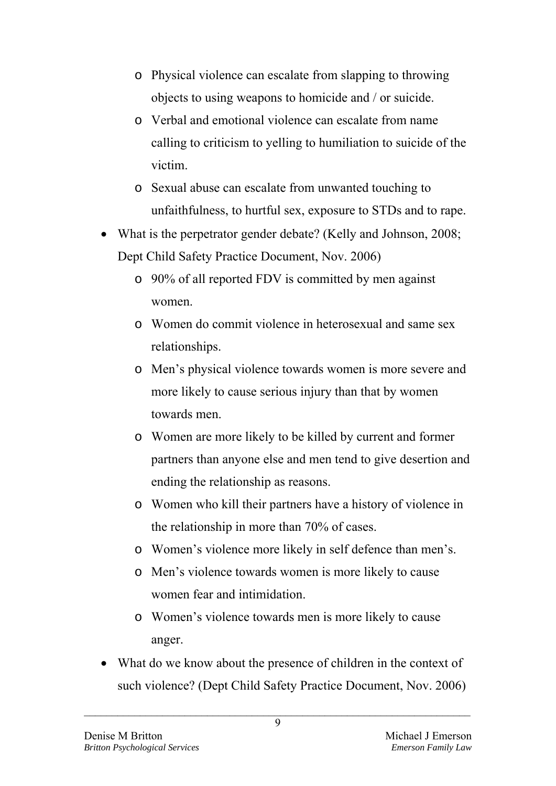- o Physical violence can escalate from slapping to throwing objects to using weapons to homicide and / or suicide.
- o Verbal and emotional violence can escalate from name calling to criticism to yelling to humiliation to suicide of the victim.
- o Sexual abuse can escalate from unwanted touching to unfaithfulness, to hurtful sex, exposure to STDs and to rape.
- What is the perpetrator gender debate? (Kelly and Johnson, 2008; Dept Child Safety Practice Document, Nov. 2006)
	- o 90% of all reported FDV is committed by men against women.
	- o Women do commit violence in heterosexual and same sex relationships.
	- o Men's physical violence towards women is more severe and more likely to cause serious injury than that by women towards men.
	- o Women are more likely to be killed by current and former partners than anyone else and men tend to give desertion and ending the relationship as reasons.
	- o Women who kill their partners have a history of violence in the relationship in more than 70% of cases.
	- o Women's violence more likely in self defence than men's.
	- o Men's violence towards women is more likely to cause women fear and intimidation.
	- o Women's violence towards men is more likely to cause anger.
- What do we know about the presence of children in the context of such violence? (Dept Child Safety Practice Document, Nov. 2006)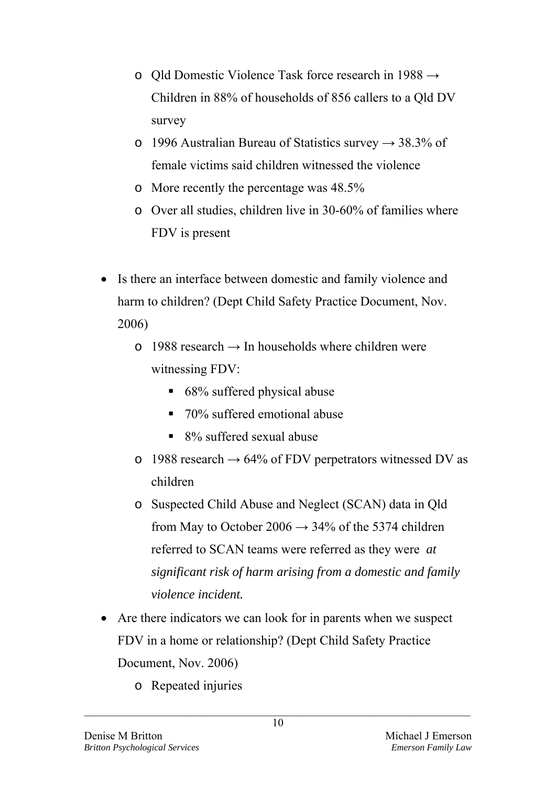- o Qld Domestic Violence Task force research in 1988 → Children in 88% of households of 856 callers to a Qld DV survey
- o 1996 Australian Bureau of Statistics survey  $\rightarrow$  38.3% of female victims said children witnessed the violence
- o More recently the percentage was 48.5%
- o Over all studies, children live in 30-60% of families where FDV is present
- Is there an interface between domestic and family violence and harm to children? (Dept Child Safety Practice Document, Nov. 2006)
	- $\circ$  1988 research  $\rightarrow$  In households where children were witnessing FDV:
		- 68% suffered physical abuse
		- 70% suffered emotional abuse
		- 8% suffered sexual abuse
	- o 1988 research  $\rightarrow$  64% of FDV perpetrators witnessed DV as children
	- o Suspected Child Abuse and Neglect (SCAN) data in Qld from May to October 2006  $\rightarrow$  34% of the 5374 children referred to SCAN teams were referred as they were *at significant risk of harm arising from a domestic and family violence incident.*
- Are there indicators we can look for in parents when we suspect FDV in a home or relationship? (Dept Child Safety Practice Document, Nov. 2006)
	- o Repeated injuries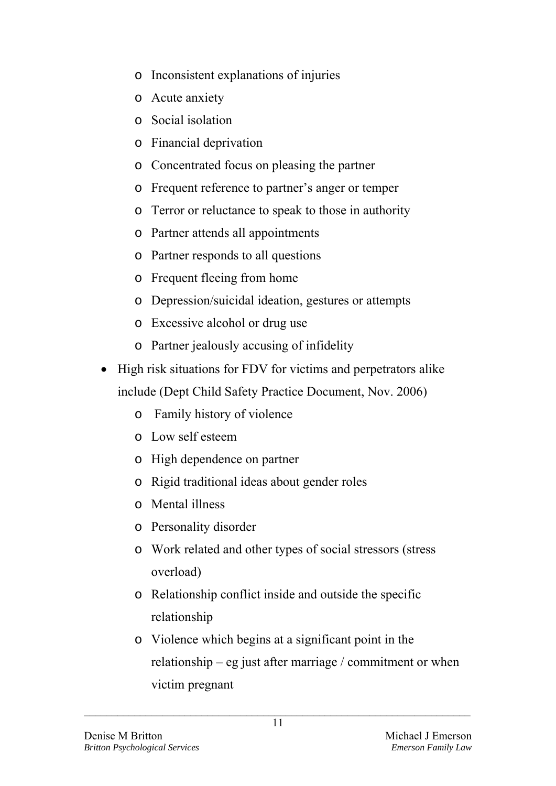- o Inconsistent explanations of injuries
- o Acute anxiety
- o Social isolation
- o Financial deprivation
- o Concentrated focus on pleasing the partner
- o Frequent reference to partner's anger or temper
- o Terror or reluctance to speak to those in authority
- o Partner attends all appointments
- o Partner responds to all questions
- o Frequent fleeing from home
- o Depression/suicidal ideation, gestures or attempts
- o Excessive alcohol or drug use
- o Partner jealously accusing of infidelity
- High risk situations for FDV for victims and perpetrators alike include (Dept Child Safety Practice Document, Nov. 2006)
	- o Family history of violence
	- o Low self esteem
	- o High dependence on partner
	- o Rigid traditional ideas about gender roles
	- o Mental illness
	- o Personality disorder
	- o Work related and other types of social stressors (stress overload)
	- o Relationship conflict inside and outside the specific relationship
	- o Violence which begins at a significant point in the relationship – eg just after marriage / commitment or when victim pregnant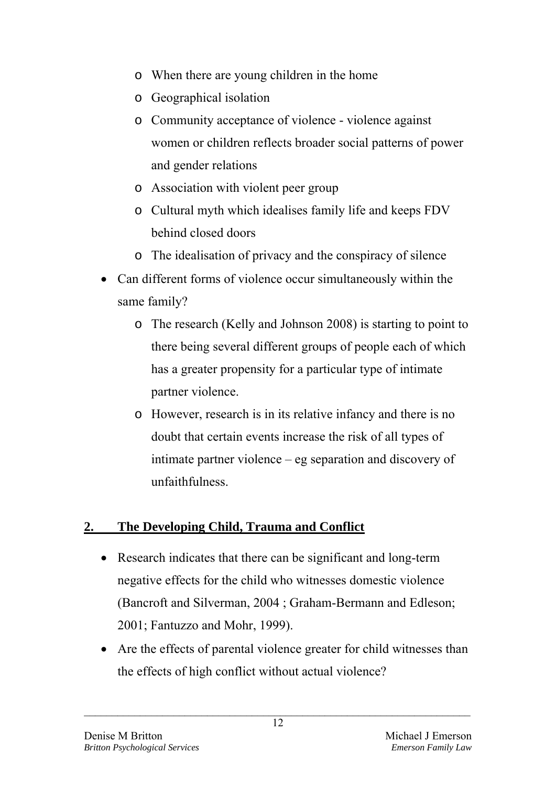- o When there are young children in the home
- o Geographical isolation
- o Community acceptance of violence violence against women or children reflects broader social patterns of power and gender relations
- o Association with violent peer group
- o Cultural myth which idealises family life and keeps FDV behind closed doors
- o The idealisation of privacy and the conspiracy of silence
- Can different forms of violence occur simultaneously within the same family?
	- o The research (Kelly and Johnson 2008) is starting to point to there being several different groups of people each of which has a greater propensity for a particular type of intimate partner violence.
	- o However, research is in its relative infancy and there is no doubt that certain events increase the risk of all types of intimate partner violence – eg separation and discovery of unfaithfulness.

# **2. The Developing Child, Trauma and Conflict**

- Research indicates that there can be significant and long-term negative effects for the child who witnesses domestic violence (Bancroft and Silverman, 2004 ; Graham-Bermann and Edleson; 2001; Fantuzzo and Mohr, 1999).
- Are the effects of parental violence greater for child witnesses than the effects of high conflict without actual violence?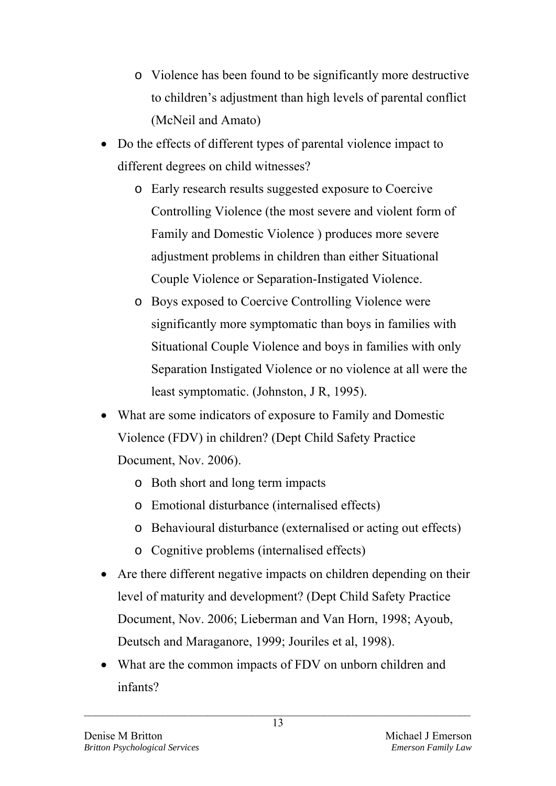- o Violence has been found to be significantly more destructive to children's adjustment than high levels of parental conflict (McNeil and Amato)
- Do the effects of different types of parental violence impact to different degrees on child witnesses?
	- o Early research results suggested exposure to Coercive Controlling Violence (the most severe and violent form of Family and Domestic Violence ) produces more severe adjustment problems in children than either Situational Couple Violence or Separation-Instigated Violence.
	- o Boys exposed to Coercive Controlling Violence were significantly more symptomatic than boys in families with Situational Couple Violence and boys in families with only Separation Instigated Violence or no violence at all were the least symptomatic. (Johnston, J R, 1995).
- What are some indicators of exposure to Family and Domestic Violence (FDV) in children? (Dept Child Safety Practice Document, Nov. 2006).
	- o Both short and long term impacts
	- o Emotional disturbance (internalised effects)
	- o Behavioural disturbance (externalised or acting out effects)
	- o Cognitive problems (internalised effects)
- Are there different negative impacts on children depending on their level of maturity and development? (Dept Child Safety Practice Document, Nov. 2006; Lieberman and Van Horn, 1998; Ayoub, Deutsch and Maraganore, 1999; Jouriles et al, 1998).
- What are the common impacts of FDV on unborn children and infants?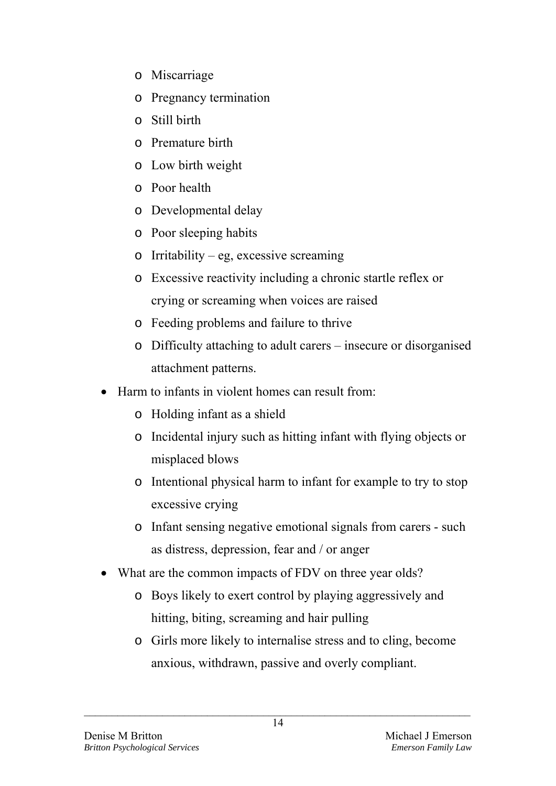- o Miscarriage
- o Pregnancy termination
- o Still birth
- o Premature birth
- o Low birth weight
- o Poor health
- o Developmental delay
- o Poor sleeping habits
- $\circ$  Irritability eg, excessive screaming
- o Excessive reactivity including a chronic startle reflex or crying or screaming when voices are raised
- o Feeding problems and failure to thrive
- o Difficulty attaching to adult carers insecure or disorganised attachment patterns.
- Harm to infants in violent homes can result from:
	- o Holding infant as a shield
	- o Incidental injury such as hitting infant with flying objects or misplaced blows
	- o Intentional physical harm to infant for example to try to stop excessive crying
	- o Infant sensing negative emotional signals from carers such as distress, depression, fear and / or anger
- What are the common impacts of FDV on three year olds?
	- o Boys likely to exert control by playing aggressively and hitting, biting, screaming and hair pulling
	- o Girls more likely to internalise stress and to cling, become anxious, withdrawn, passive and overly compliant.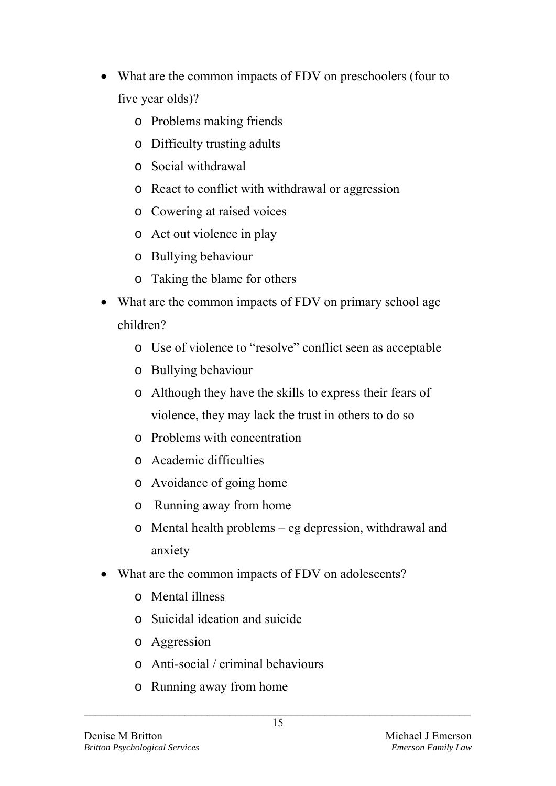- What are the common impacts of FDV on preschoolers (four to five year olds)?
	- o Problems making friends
	- o Difficulty trusting adults
	- o Social withdrawal
	- o React to conflict with withdrawal or aggression
	- o Cowering at raised voices
	- o Act out violence in play
	- o Bullying behaviour
	- o Taking the blame for others
- What are the common impacts of FDV on primary school age children?
	- o Use of violence to "resolve" conflict seen as acceptable
	- o Bullying behaviour
	- o Although they have the skills to express their fears of violence, they may lack the trust in others to do so
	- o Problems with concentration
	- o Academic difficulties
	- o Avoidance of going home
	- o Running away from home
	- o Mental health problems eg depression, withdrawal and anxiety
- What are the common impacts of FDV on adolescents?
	- o Mental illness
	- o Suicidal ideation and suicide
	- o Aggression
	- o Anti-social / criminal behaviours
	- o Running away from home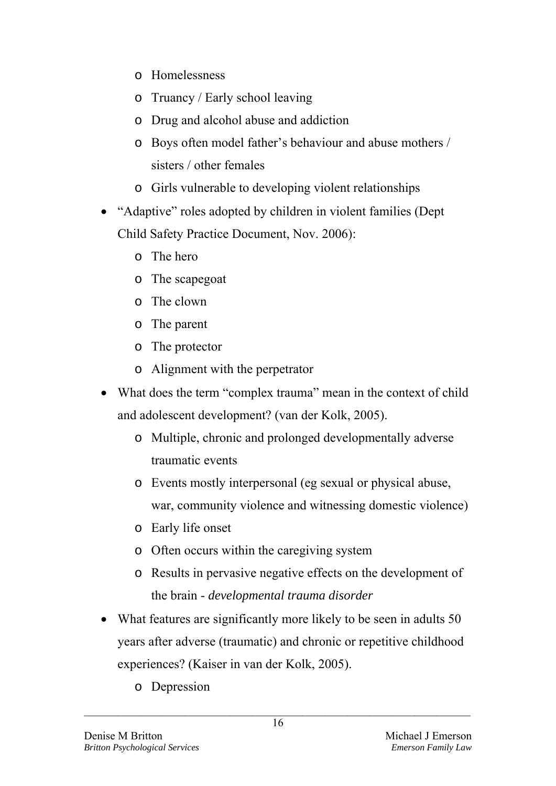- o Homelessness
- o Truancy / Early school leaving
- o Drug and alcohol abuse and addiction
- o Boys often model father's behaviour and abuse mothers / sisters / other females
- o Girls vulnerable to developing violent relationships
- "Adaptive" roles adopted by children in violent families (Dept Child Safety Practice Document, Nov. 2006):
	- o The hero
	- o The scapegoat
	- o The clown
	- o The parent
	- o The protector
	- o Alignment with the perpetrator
- What does the term "complex trauma" mean in the context of child and adolescent development? (van der Kolk, 2005).
	- o Multiple, chronic and prolonged developmentally adverse traumatic events
	- o Events mostly interpersonal (eg sexual or physical abuse, war, community violence and witnessing domestic violence)
	- o Early life onset
	- o Often occurs within the caregiving system
	- o Results in pervasive negative effects on the development of the brain - *developmental trauma disorder*
- What features are significantly more likely to be seen in adults 50 years after adverse (traumatic) and chronic or repetitive childhood experiences? (Kaiser in van der Kolk, 2005).
	- o Depression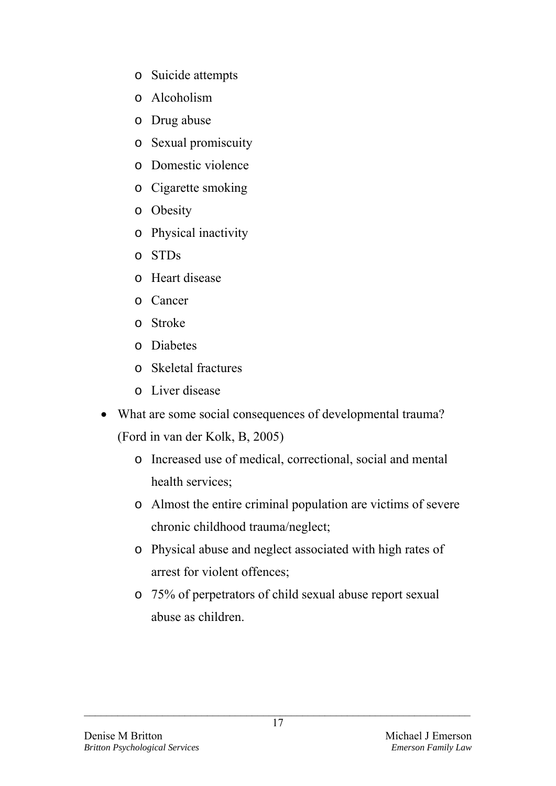- o Suicide attempts
- o Alcoholism
- o Drug abuse
- o Sexual promiscuity
- o Domestic violence
- o Cigarette smoking
- o Obesity
- o Physical inactivity
- o STDs
- o Heart disease
- o Cancer
- o Stroke
- o Diabetes
- o Skeletal fractures
- o Liver disease
- What are some social consequences of developmental trauma? (Ford in van der Kolk, B, 2005)
	- o Increased use of medical, correctional, social and mental health services;
	- o Almost the entire criminal population are victims of severe chronic childhood trauma/neglect;
	- o Physical abuse and neglect associated with high rates of arrest for violent offences;
	- o 75% of perpetrators of child sexual abuse report sexual abuse as children.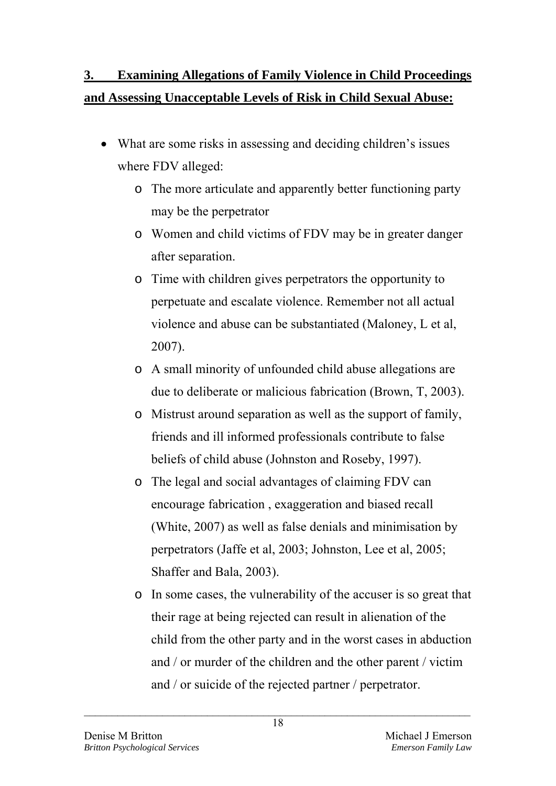# **3. Examining Allegations of Family Violence in Child Proceedings and Assessing Unacceptable Levels of Risk in Child Sexual Abuse:**

- What are some risks in assessing and deciding children's issues where FDV alleged:
	- o The more articulate and apparently better functioning party may be the perpetrator
	- o Women and child victims of FDV may be in greater danger after separation.
	- o Time with children gives perpetrators the opportunity to perpetuate and escalate violence. Remember not all actual violence and abuse can be substantiated (Maloney, L et al, 2007).
	- o A small minority of unfounded child abuse allegations are due to deliberate or malicious fabrication (Brown, T, 2003).
	- o Mistrust around separation as well as the support of family, friends and ill informed professionals contribute to false beliefs of child abuse (Johnston and Roseby, 1997).
	- o The legal and social advantages of claiming FDV can encourage fabrication , exaggeration and biased recall (White, 2007) as well as false denials and minimisation by perpetrators (Jaffe et al, 2003; Johnston, Lee et al, 2005; Shaffer and Bala, 2003).
	- o In some cases, the vulnerability of the accuser is so great that their rage at being rejected can result in alienation of the child from the other party and in the worst cases in abduction and / or murder of the children and the other parent / victim and / or suicide of the rejected partner / perpetrator.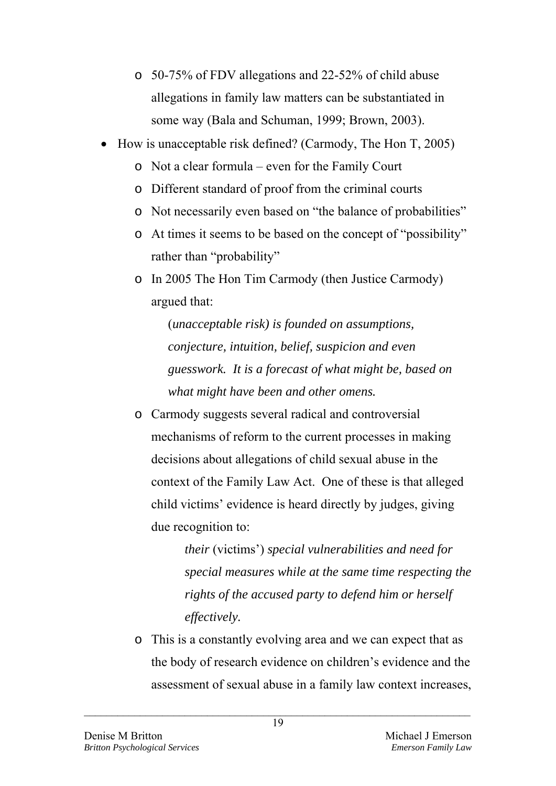- o 50-75% of FDV allegations and 22-52% of child abuse allegations in family law matters can be substantiated in some way (Bala and Schuman, 1999; Brown, 2003).
- How is unacceptable risk defined? (Carmody, The Hon T, 2005)
	- o Not a clear formula even for the Family Court
	- o Different standard of proof from the criminal courts
	- o Not necessarily even based on "the balance of probabilities"
	- o At times it seems to be based on the concept of "possibility" rather than "probability"
	- o In 2005 The Hon Tim Carmody (then Justice Carmody) argued that:

(*unacceptable risk) is founded on assumptions, conjecture, intuition, belief, suspicion and even guesswork. It is a forecast of what might be, based on what might have been and other omens.*

o Carmody suggests several radical and controversial mechanisms of reform to the current processes in making decisions about allegations of child sexual abuse in the context of the Family Law Act. One of these is that alleged child victims' evidence is heard directly by judges, giving due recognition to:

> *their* (victims') *special vulnerabilities and need for special measures while at the same time respecting the rights of the accused party to defend him or herself effectively.*

o This is a constantly evolving area and we can expect that as the body of research evidence on children's evidence and the assessment of sexual abuse in a family law context increases,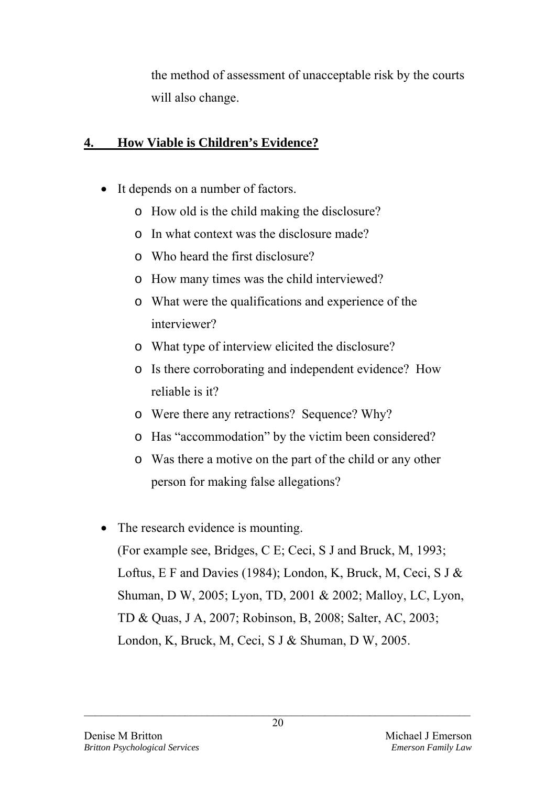the method of assessment of unacceptable risk by the courts will also change.

# **4. How Viable is Children's Evidence?**

- It depends on a number of factors.
	- o How old is the child making the disclosure?
	- o In what context was the disclosure made?
	- o Who heard the first disclosure?
	- o How many times was the child interviewed?
	- o What were the qualifications and experience of the interviewer?
	- o What type of interview elicited the disclosure?
	- o Is there corroborating and independent evidence? How reliable is it?
	- o Were there any retractions? Sequence? Why?
	- o Has "accommodation" by the victim been considered?
	- o Was there a motive on the part of the child or any other person for making false allegations?
- The research evidence is mounting. (For example see, Bridges, C E; Ceci, S J and Bruck, M, 1993; Loftus, E F and Davies (1984); London, K, Bruck, M, Ceci, S J & Shuman, D W, 2005; Lyon, TD, 2001 & 2002; Malloy, LC, Lyon, TD & Quas, J A, 2007; Robinson, B, 2008; Salter, AC, 2003; London, K, Bruck, M, Ceci, S J & Shuman, D W, 2005.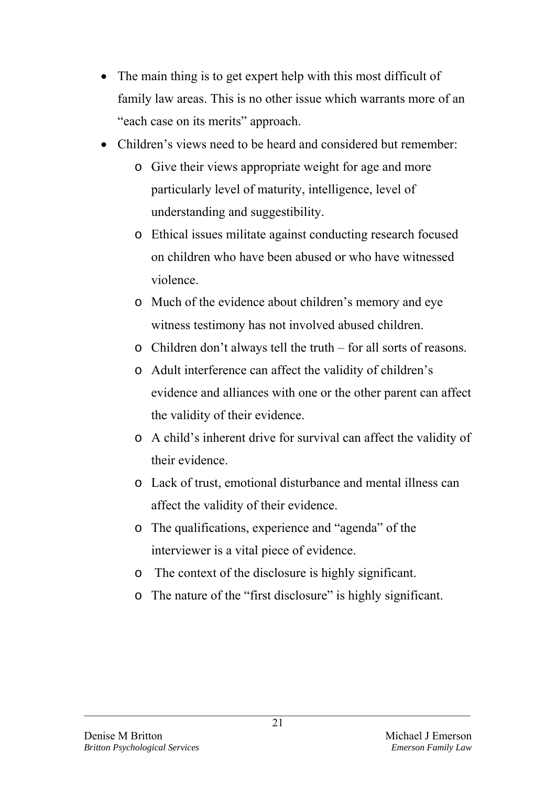- The main thing is to get expert help with this most difficult of family law areas. This is no other issue which warrants more of an "each case on its merits" approach.
- Children's views need to be heard and considered but remember:
	- o Give their views appropriate weight for age and more particularly level of maturity, intelligence, level of understanding and suggestibility.
	- o Ethical issues militate against conducting research focused on children who have been abused or who have witnessed violence.
	- o Much of the evidence about children's memory and eye witness testimony has not involved abused children.
	- o Children don't always tell the truth for all sorts of reasons.
	- o Adult interference can affect the validity of children's evidence and alliances with one or the other parent can affect the validity of their evidence.
	- o A child's inherent drive for survival can affect the validity of their evidence.
	- o Lack of trust, emotional disturbance and mental illness can affect the validity of their evidence.
	- o The qualifications, experience and "agenda" of the interviewer is a vital piece of evidence.
	- o The context of the disclosure is highly significant.
	- o The nature of the "first disclosure" is highly significant.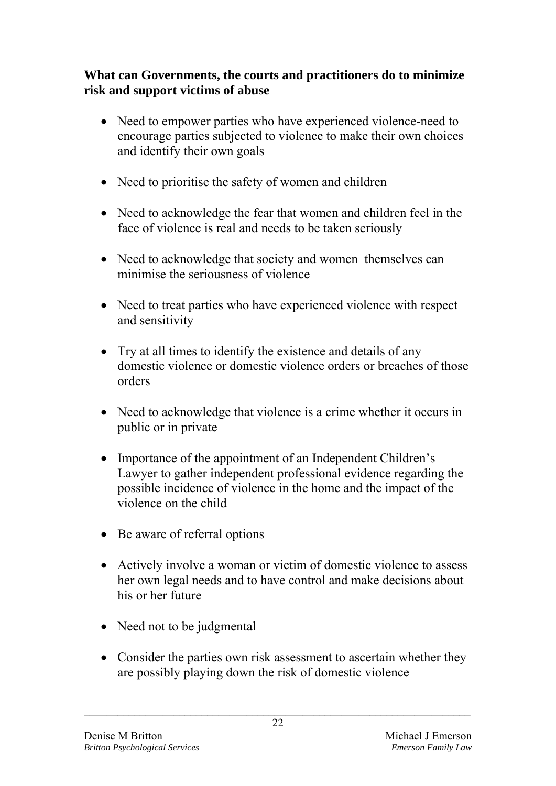## **What can Governments, the courts and practitioners do to minimize risk and support victims of abuse**

- Need to empower parties who have experienced violence-need to encourage parties subjected to violence to make their own choices and identify their own goals
- Need to prioritise the safety of women and children
- Need to acknowledge the fear that women and children feel in the face of violence is real and needs to be taken seriously
- Need to acknowledge that society and women themselves can minimise the seriousness of violence
- Need to treat parties who have experienced violence with respect and sensitivity
- Try at all times to identify the existence and details of any domestic violence or domestic violence orders or breaches of those orders
- Need to acknowledge that violence is a crime whether it occurs in public or in private
- Importance of the appointment of an Independent Children's Lawyer to gather independent professional evidence regarding the possible incidence of violence in the home and the impact of the violence on the child
- Be aware of referral options
- Actively involve a woman or victim of domestic violence to assess her own legal needs and to have control and make decisions about his or her future
- Need not to be judgmental
- Consider the parties own risk assessment to ascertain whether they are possibly playing down the risk of domestic violence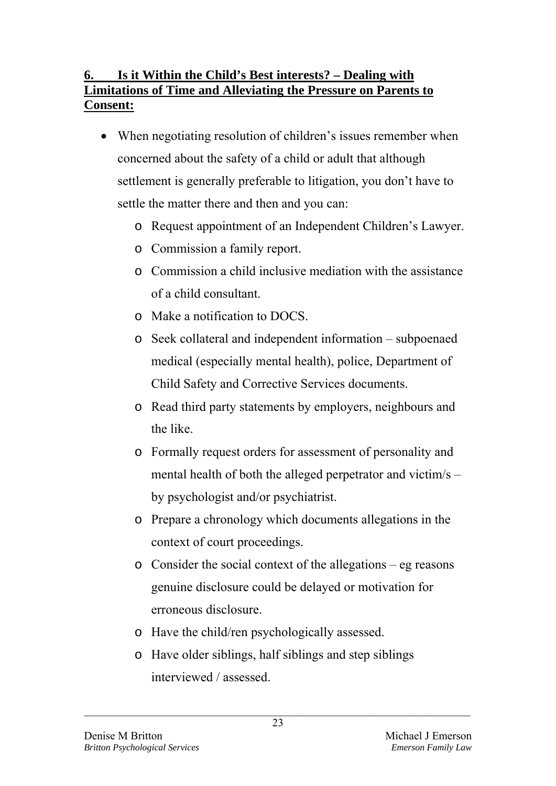# **6. Is it Within the Child's Best interests? – Dealing with Limitations of Time and Alleviating the Pressure on Parents to Consent:**

- When negotiating resolution of children's issues remember when concerned about the safety of a child or adult that although settlement is generally preferable to litigation, you don't have to settle the matter there and then and you can:
	- o Request appointment of an Independent Children's Lawyer.
	- o Commission a family report.
	- o Commission a child inclusive mediation with the assistance of a child consultant.
	- o Make a notification to DOCS.
	- o Seek collateral and independent information subpoenaed medical (especially mental health), police, Department of Child Safety and Corrective Services documents.
	- o Read third party statements by employers, neighbours and the like.
	- o Formally request orders for assessment of personality and mental health of both the alleged perpetrator and victim/s – by psychologist and/or psychiatrist.
	- o Prepare a chronology which documents allegations in the context of court proceedings.
	- o Consider the social context of the allegations eg reasons genuine disclosure could be delayed or motivation for erroneous disclosure.
	- o Have the child/ren psychologically assessed.
	- o Have older siblings, half siblings and step siblings interviewed / assessed.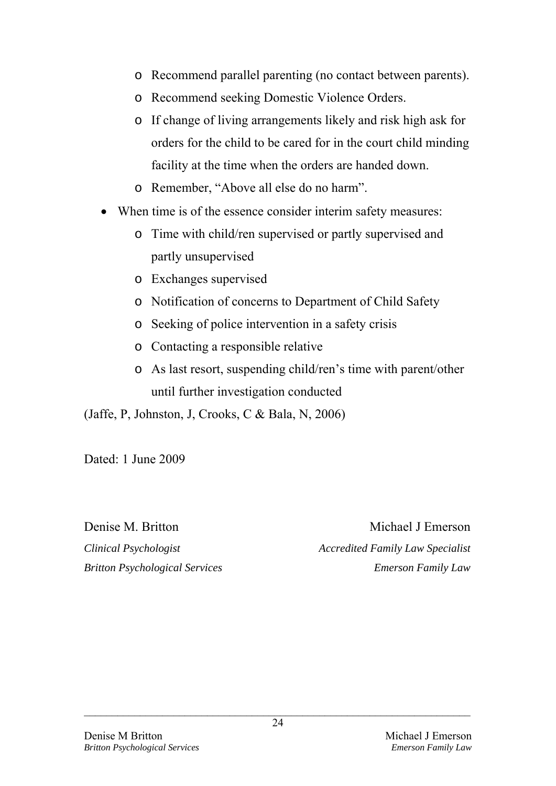- o Recommend parallel parenting (no contact between parents).
- o Recommend seeking Domestic Violence Orders.
- o If change of living arrangements likely and risk high ask for orders for the child to be cared for in the court child minding facility at the time when the orders are handed down.
- o Remember, "Above all else do no harm".
- When time is of the essence consider interim safety measures:
	- o Time with child/ren supervised or partly supervised and partly unsupervised
	- o Exchanges supervised
	- o Notification of concerns to Department of Child Safety
	- o Seeking of police intervention in a safety crisis
	- o Contacting a responsible relative
	- o As last resort, suspending child/ren's time with parent/other until further investigation conducted

(Jaffe, P, Johnston, J, Crooks, C & Bala, N, 2006)

Dated: 1 June 2009

Denise M. Britton Michael J Emerson *Clinical Psychologist Accredited Family Law Specialist Britton Psychological Services Emerson Family Law*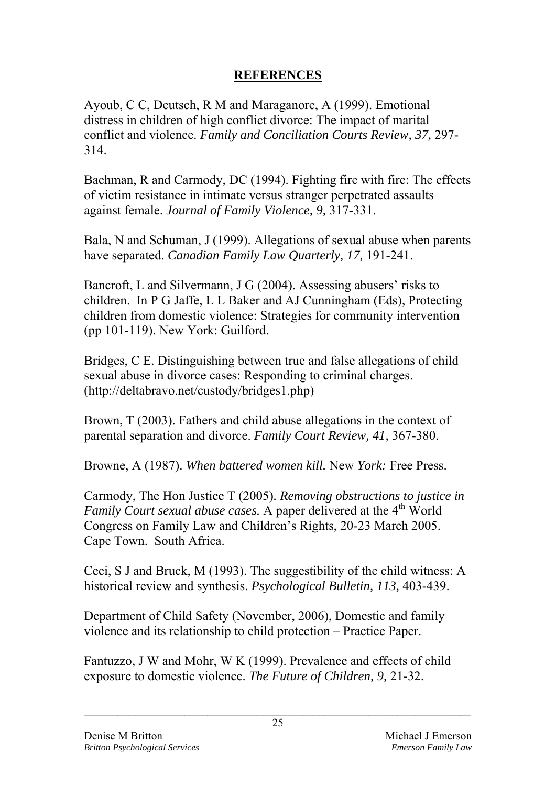### **REFERENCES**

Ayoub, C C, Deutsch, R M and Maraganore, A (1999). Emotional distress in children of high conflict divorce: The impact of marital conflict and violence. *Family and Conciliation Courts Review, 37,* 297- 314.

Bachman, R and Carmody, DC (1994). Fighting fire with fire: The effects of victim resistance in intimate versus stranger perpetrated assaults against female. *Journal of Family Violence, 9,* 317-331.

Bala, N and Schuman, J (1999). Allegations of sexual abuse when parents have separated. *Canadian Family Law Quarterly, 17,* 191-241.

Bancroft, L and Silvermann, J G (2004). Assessing abusers' risks to children.In P G Jaffe, L L Baker and AJ Cunningham (Eds), Protecting children from domestic violence: Strategies for community intervention (pp 101-119). New York: Guilford.

Bridges, C E. Distinguishing between true and false allegations of child sexual abuse in divorce cases: Responding to criminal charges. (http://deltabravo.net/custody/bridges1.php)

Brown, T (2003). Fathers and child abuse allegations in the context of parental separation and divorce. *Family Court Review, 41,* 367-380.

Browne, A (1987). *When battered women kill.* New *York:* Free Press.

Carmody, The Hon Justice T (2005)*. Removing obstructions to justice in Family Court sexual abuse cases.* A paper delivered at the 4<sup>th</sup> World Congress on Family Law and Children's Rights, 20-23 March 2005. Cape Town. South Africa.

Ceci, S J and Bruck, M (1993). The suggestibility of the child witness: A historical review and synthesis. *Psychological Bulletin, 113,* 403-439.

Department of Child Safety (November, 2006), Domestic and family violence and its relationship to child protection – Practice Paper.

Fantuzzo, J W and Mohr, W K (1999). Prevalence and effects of child exposure to domestic violence. *The Future of Children, 9,* 21-32.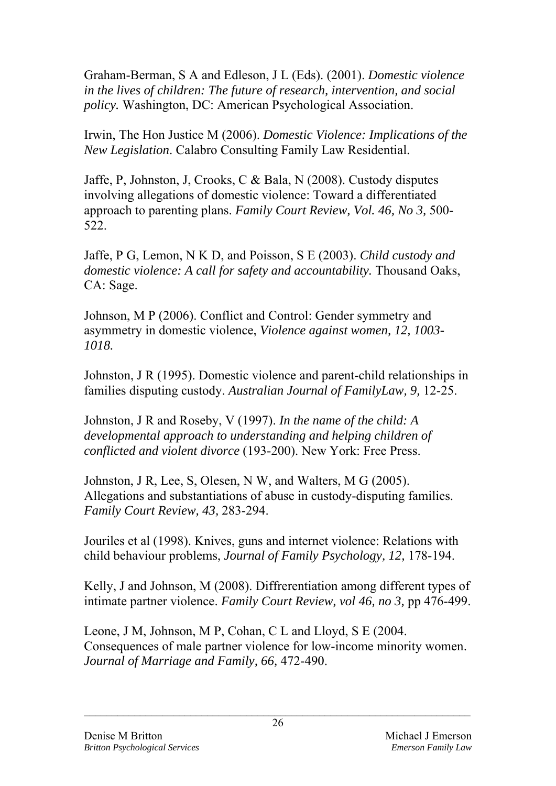Graham-Berman, S A and Edleson, J L (Eds). (2001). *Domestic violence in the lives of children: The future of research, intervention, and social policy.* Washington, DC: American Psychological Association.

Irwin, The Hon Justice M (2006). *Domestic Violence: Implications of the New Legislation*. Calabro Consulting Family Law Residential.

Jaffe, P, Johnston, J, Crooks, C & Bala, N (2008). Custody disputes involving allegations of domestic violence: Toward a differentiated approach to parenting plans. *Family Court Review, Vol. 46, No 3,* 500- 522.

Jaffe, P G, Lemon, N K D, and Poisson, S E (2003). *Child custody and domestic violence: A call for safety and accountability. Thousand Oaks.* CA: Sage.

Johnson, M P (2006). Conflict and Control: Gender symmetry and asymmetry in domestic violence, *Violence against women, 12, 1003- 1018.* 

Johnston, J R (1995). Domestic violence and parent-child relationships in families disputing custody. *Australian Journal of FamilyLaw, 9,* 12-25.

Johnston, J R and Roseby, V (1997). *In the name of the child: A developmental approach to understanding and helping children of conflicted and violent divorce* (193-200). New York: Free Press.

Johnston, J R, Lee, S, Olesen, N W, and Walters, M G (2005). Allegations and substantiations of abuse in custody-disputing families. *Family Court Review, 43,* 283-294.

Jouriles et al (1998). Knives, guns and internet violence: Relations with child behaviour problems, *Journal of Family Psychology, 12,* 178-194.

Kelly, J and Johnson, M (2008). Diffrerentiation among different types of intimate partner violence. *Family Court Review, vol 46, no 3,* pp 476-499.

Leone, J M, Johnson, M P, Cohan, C L and Lloyd, S E (2004. Consequences of male partner violence for low-income minority women. *Journal of Marriage and Family, 66,* 472-490.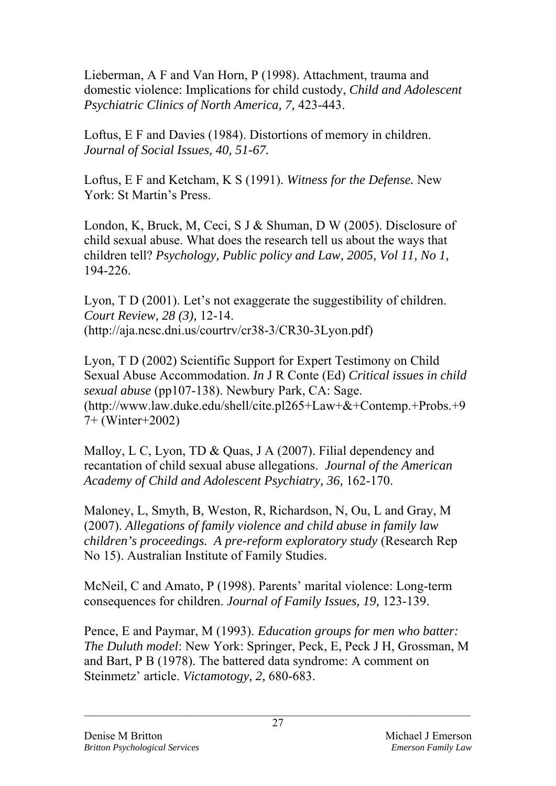Lieberman, A F and Van Horn, P (1998). Attachment, trauma and domestic violence: Implications for child custody, *Child and Adolescent Psychiatric Clinics of North America, 7,* 423-443.

Loftus, E F and Davies (1984). Distortions of memory in children. *Journal of Social Issues, 40, 51-67.* 

Loftus, E F and Ketcham, K S (1991). *Witness for the Defense.* New York: St Martin's Press.

London, K, Bruck, M, Ceci, S J & Shuman, D W (2005). Disclosure of child sexual abuse. What does the research tell us about the ways that children tell? *Psychology, Public policy and Law, 2005, Vol 11, No 1,*  194-226.

Lyon, T D (2001). Let's not exaggerate the suggestibility of children. *Court Review, 28 (3),* 12-14. (http://aja.ncsc.dni.us/courtrv/cr38-3/CR30-3Lyon.pdf)

Lyon, T D (2002) Scientific Support for Expert Testimony on Child Sexual Abuse Accommodation. *In* J R Conte (Ed) *Critical issues in child sexual abuse* (pp107-138). Newbury Park, CA: Sage. (http://www.law.duke.edu/shell/cite.pl265+Law+&+Contemp.+Probs.+9 7+ (Winter+2002)

Malloy, L C, Lyon, TD & Quas, J A (2007). Filial dependency and recantation of child sexual abuse allegations. *Journal of the American Academy of Child and Adolescent Psychiatry, 36,* 162-170.

Maloney, L, Smyth, B, Weston, R, Richardson, N, Ou, L and Gray, M (2007). *Allegations of family violence and child abuse in family law children's proceedings. A pre-reform exploratory study* (Research Rep No 15). Australian Institute of Family Studies.

McNeil, C and Amato, P (1998). Parents' marital violence: Long-term consequences for children. *Journal of Family Issues, 19,* 123-139.

Pence, E and Paymar, M (1993). *Education groups for men who batter: The Duluth model*: New York: Springer, Peck, E, Peck J H, Grossman, M and Bart, P B (1978). The battered data syndrome: A comment on Steinmetz' article. *Victamotogy, 2,* 680-683.